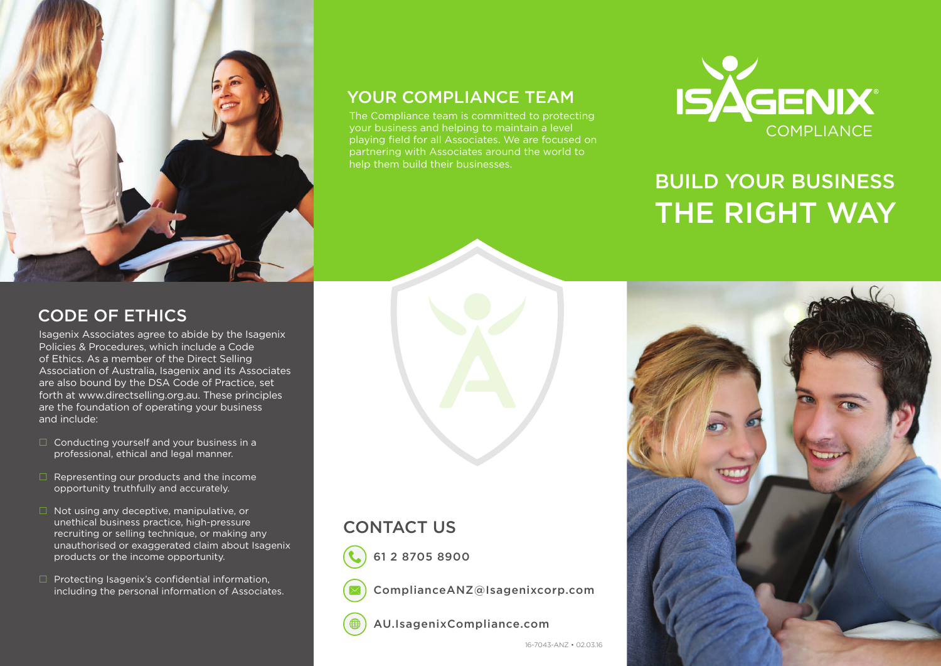

### YOUR COMPLIANCE TEAM

The Compliance team is committed to protecting your business and helping to maintain a level playing field for all Associates. We are focused on partnering with Associates around the world to help them build their businesses.



# BUILD YOUR BUSINESS THE RIGHT WAY

### CODE OF ETHICS

Isagenix Associates agree to abide by the Isagenix Policies & Procedures, which include a Code of Ethics. As a member of the Direct Selling Association of Australia, Isagenix and its Associates are also bound by the DSA Code of Practice, set forth at www.directselling.org.au. These principles are the foundation of operating your business and include:

- $\Box$  Conducting yourself and your business in a professional, ethical and legal manner.
- $\Box$  Representing our products and the income opportunity truthfully and accurately.
- $\Box$  Not using any deceptive, manipulative, or unethical business practice, high-pressure recruiting or selling technique, or making any unauthorised or exaggerated claim about Isagenix products or the income opportunity.
- $\Box$  Protecting Isagenix's confidential information, including the personal information of Associates.



### CONTACT US



61 2 8705 8900

ComplianceANZ@Isagenixcorp.com

AU.IsagenixCompliance.com